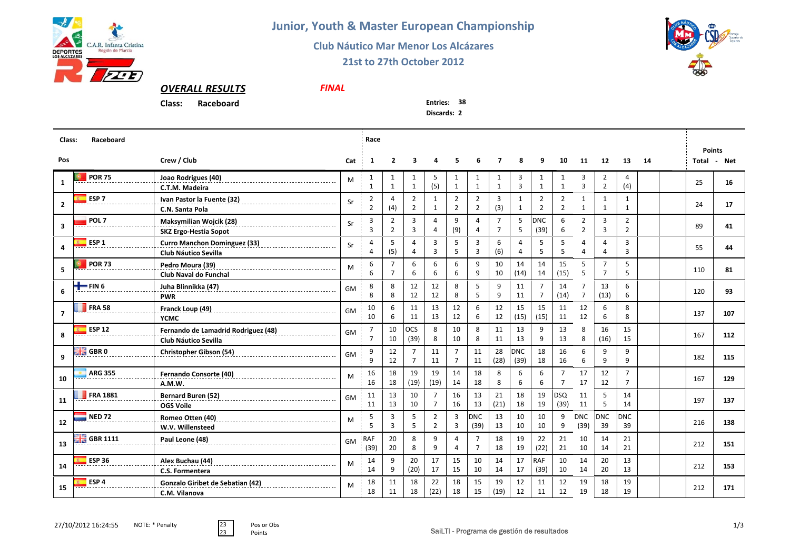

**Junior, Youth & Master European Championship**

## **Club Náutico Mar Menor Los Alcázares**

*FINAL*

## **21st to 27th October 2012**



## *OVERALL RESULTS*

**Class:Raceboard** **Entries: <sup>38</sup>**

**Discards: 2**

| Class:<br>Raceboard |                          |                                                                    |           |                                  |                                  | Race                             |                                  |                                  |                                  |                                  |                     |                                  |                                  |                                  |                                  |                                  |    |  | <b>Points</b> |       |
|---------------------|--------------------------|--------------------------------------------------------------------|-----------|----------------------------------|----------------------------------|----------------------------------|----------------------------------|----------------------------------|----------------------------------|----------------------------------|---------------------|----------------------------------|----------------------------------|----------------------------------|----------------------------------|----------------------------------|----|--|---------------|-------|
| Pos                 |                          | Crew / Club                                                        | Cat       | $\mathbf{1}$                     | $\overline{2}$                   | 3                                | 4                                | 5                                | 6                                | $\overline{7}$                   | 8                   | 9                                | 10                               | 11                               | 12                               | 13                               | 14 |  | Total         | - Net |
| 1                   | <b>POR 75</b>            | Joao Rodrigues (40)<br>C.T.M. Madeira                              | M         | 1<br>$\mathbf{1}$                | 1<br>$\mathbf{1}$                | 1<br>$\mathbf{1}$                | -5<br>(5)                        | 1<br>1                           | 1<br>$\mathbf{1}$                | 1<br>$\mathbf{1}$                | 3<br>$\overline{3}$ | 1<br>$\mathbf{1}$                | 1<br>$\mathbf{1}$                | 3<br>3                           | $\mathbf{2}$<br>$\overline{2}$   | 4<br>(4)                         |    |  | 25            | 16    |
| $\overline{2}$      | ESP <sub>7</sub>         | Ivan Pastor la Fuente (32)<br>C.N. Santa Pola                      | Sr        | $\overline{2}$<br>$\overline{2}$ | 4<br>(4)                         | $\overline{2}$<br>$\overline{2}$ | $\mathbf{1}$<br>$\mathbf{1}$     | $\overline{2}$<br>$\overline{2}$ | $\overline{2}$<br>$\overline{2}$ | 3<br>(3)                         | $\mathbf{1}$<br>1   | $\overline{2}$<br>$\overline{2}$ | $\overline{2}$<br>$\overline{2}$ | $\mathbf{1}$<br>$\mathbf{1}$     | $\mathbf{1}$<br>$\mathbf{1}$     | 1<br>$\mathbf{1}$                |    |  | 24            | 17    |
| $\mathbf{3}$        | POL <sub>7</sub>         | Maksymilian Wojcik (28)<br><b>SKZ Ergo-Hestia Sopot</b>            | Sr        | $\overline{3}$<br>3              | $\overline{2}$<br>$\overline{2}$ | 3<br>3                           | $\overline{4}$<br>$\overline{4}$ | 9<br>(9)                         | 4<br>4                           | $\overline{7}$<br>$\overline{7}$ | 5<br>5              | <b>DNC</b><br>(39)               | 6<br>6                           | $\overline{2}$<br>$\overline{2}$ | 3<br>3                           | $\overline{2}$<br>$\overline{2}$ |    |  | 89            | 41    |
| 4                   | ESP <sub>1</sub>         | <b>Curro Manchon Dominguez (33)</b><br>Club Náutico Sevilla        | Sr        | $\overline{4}$<br>4              | 5<br>(5)                         | 4<br>4                           | 3<br>$\overline{3}$              | 5<br>5                           | 3<br>$\overline{3}$              | 6<br>(6)                         | 4<br>4              | 5<br>5                           | 5<br>5                           | $\Delta$<br>Δ                    | 4<br>Δ                           | 3<br>3                           |    |  | 55            | 44    |
| 5                   | <b>POR 73</b>            | Pedro Moura (39)<br>Club Naval do Funchal                          | M         | 6<br>6                           | $\overline{7}$<br>$\overline{7}$ | 6<br>6                           | 6<br>6                           | 6<br>6                           | 9<br>9                           | 10<br>10                         | 14<br>(14)          | 14<br>14                         | 15<br>(15)                       | 5<br>5                           | $\overline{7}$<br>$\overline{7}$ | 5<br>5                           |    |  | 110           | 81    |
| 6                   | $\blacksquare$ FIN 6     | Juha Blinnikka (47)<br><b>PWR</b>                                  | <b>GM</b> | 8<br>8                           | 8<br>8                           | 12<br>12                         | 12<br>12                         | 8<br>8                           | 5<br>5                           | 9<br>9                           | 11<br>11            | $\overline{7}$<br>$\overline{7}$ | 14<br>(14)                       | 7<br>$\overline{7}$              | 13<br>(13)                       | 6<br>6                           |    |  | 120           | 93    |
| $\overline{7}$      | <b>FRA 58</b>            | Franck Loup (49)<br><b>YCMC</b>                                    | GM        | 10<br>10                         | 6<br>6                           | 11<br>11                         | 13<br>13                         | 12<br>12                         | 6<br>6                           | 12<br>12                         | 15<br>(15)          | 15<br>(15)                       | 11<br>11                         | 12<br>12                         | 6<br>6                           | 8<br>8                           |    |  | 137           | 107   |
| 8                   | <b>ESP 12</b>            | Fernando de Lamadrid Rodriguez (48)<br><b>Club Náutico Sevilla</b> | GM        | $\overline{7}$<br>$\overline{7}$ | 10<br>10                         | locs<br>(39)                     | 8<br>8                           | 10<br>10                         | 8<br>8                           | 11<br>11                         | 13<br>13            | 9<br>9                           | 13<br>13                         | 8<br>8                           | 16<br>(16)                       | 15<br>15                         |    |  | 167           | 112   |
| 9                   | GBR <sub>0</sub><br>网图   | <b>Christopher Gibson (54)</b>                                     | GM        | 9<br>9                           | 12<br>12                         | $\overline{7}$<br>$\overline{7}$ | 11<br>11                         | $\overline{7}$<br>$\overline{7}$ | 11<br>11                         | 28<br>(28)                       | <b>DNC</b><br>(39)  | 18<br>18                         | 16<br>16                         | 6<br>6                           | 9<br>9                           | 9<br>9                           |    |  | 182           | 115   |
| 10                  | <b>ARG 355</b>           | Fernando Consorte (40)<br>A.M.W.                                   | M         | 16<br>16                         | 18<br>18                         | 19<br>(19)                       | 19<br>(19)                       | 14<br>14                         | 18<br>18                         | 8<br>8                           | 6<br>6              | 6<br>6                           | $\overline{7}$<br>$\overline{7}$ | 17<br>17                         | 12<br>12                         | $\overline{7}$<br>$\overline{7}$ |    |  | 167           | 129   |
| 11                  | <b>FRA 1881</b>          | Bernard Buren (52)<br><b>OGS Voile</b>                             | <b>GM</b> | 11<br>11                         | 13<br>13                         | 10<br>10                         | $\overline{7}$<br>$\overline{7}$ | 16<br>16                         | 13<br>13                         | 21<br>(21)                       | 18<br>18            | 19<br>19                         | <b>DSQ</b><br>(39)               | 11<br>11                         | 5<br>5                           | 14<br>14                         |    |  | 197           | 137   |
| 12                  | <b>NED 72</b>            | Romeo Otten (40)<br>W.V. Willensteed                               | M         | 5<br>5                           | 3<br>$\overline{3}$              | 5<br>5                           | $\overline{2}$<br>$\overline{2}$ | 3<br>$\overline{3}$              | <b>DNC</b><br>(39)               | 13<br>13                         | 10<br>10            | 10<br>10                         | 9<br>9                           | <b>DNC</b><br>(39)               | <b>DNC</b><br>39                 | <b>DNC</b><br>39                 |    |  | 216           | 138   |
| 13                  | $\frac{10}{20}$ GBR 1111 | Paul Leone (48)                                                    | GM        | <b>RAF</b><br>(39)               | 20<br>20                         | 8<br>8                           | 9<br>9                           | $\overline{A}$<br>$\Lambda$      | $\overline{7}$<br>$\overline{7}$ | 18<br>18                         | 19<br>19            | 22<br>(22)                       | 21<br>21                         | 10<br>10                         | 14<br>14                         | 21<br>21                         |    |  | 212           | 151   |
| 14                  | <b>ESP 36</b>            | Alex Buchau (44)<br>C.S. Formentera                                | M         | 14<br>14                         | 9<br>9                           | 20<br>(20)                       | 17<br>17                         | 15<br>15                         | 10<br>10                         | 14<br>14                         | 17<br>17            | <b>RAF</b><br>(39)               | 10<br>10                         | 14<br>14                         | 20<br>20                         | 13<br>13                         |    |  | 212           | 153   |
| 15                  | ESP <sub>4</sub>         | Gonzalo Giribet de Sebatian (42)<br>C.M. Vilanova                  | M         | 18<br>18                         | 11<br>11                         | 18<br>18                         | 22<br>(22)                       | 18<br>18                         | 15<br>15                         | 19<br>(19)                       | 12<br>12            | 11<br>11                         | 12<br>12                         | 19<br>19                         | 18<br>18                         | 19<br>19                         |    |  | 212           | 171   |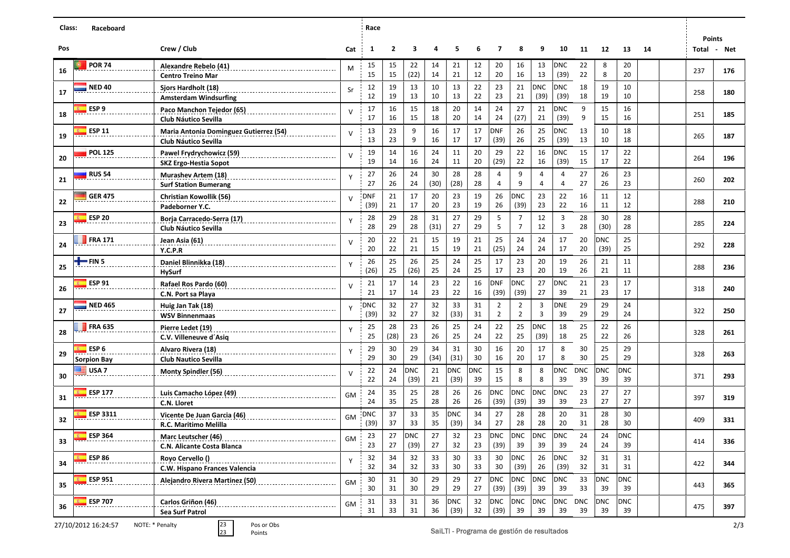| Class: | Raceboard           |                                                                              |              | Race        |                |            |            |            |            |                                  |                                            |                  |                    |            |                  |                  |    |               |     |
|--------|---------------------|------------------------------------------------------------------------------|--------------|-------------|----------------|------------|------------|------------|------------|----------------------------------|--------------------------------------------|------------------|--------------------|------------|------------------|------------------|----|---------------|-----|
| Pos    |                     |                                                                              |              |             | $\overline{2}$ | 3          |            | 5          | 6          | $\overline{7}$                   | 8                                          | 9                | 10                 |            |                  |                  |    | <b>Points</b> |     |
|        |                     | Crew / Club                                                                  | Cat          | 1           |                |            | 4          |            |            |                                  |                                            |                  |                    | 11         | 12               | 13               | 14 | Total Net     |     |
| 16     | <b>POR 74</b>       | Alexandre Rebelo (41)<br>-----------------------<br><b>Centro Treino Mar</b> | М            | 15<br>15    | 15<br>15       | 22<br>(22) | 14<br>14   | 21<br>21   | 12<br>12   | 20<br>20                         | 16<br>16                                   | 13<br>13         | <b>DNC</b><br>(39) | 22<br>22   | 8<br>8           | 20<br>20         |    | 237           | 176 |
|        | <b>NED 40</b>       | Sjors Hardholt (18)                                                          |              | 12          | 19             | 13         | 10         | 13         | 22         | 23                               | 21                                         | <b>DNC</b>       | <b>DNC</b>         | 18         | 19               | 10               |    |               |     |
| 17     |                     | <b>Amsterdam Windsurfing</b>                                                 | Sr           | 12          | 19             | 13         | 10         | 13         | 22         | 23                               | 21                                         | (39)             | (39)               | 18         | 19               | 10               |    | 258           | 180 |
| 18     | ESP <sub>9</sub>    | Paco Manchon Tejedor (65)                                                    | $\vee$       | 17          | 16             | 15         | 18         | 20         | 14         | 24                               | 27                                         | 21               | <b>DNC</b>         | 9          | 15               | 16               |    | 251           | 185 |
|        |                     | <b>Club Náutico Sevilla</b>                                                  |              | 17          | 16             | 15         | 18         | 20         | 14         | 24                               | (27)                                       | 21               | (39)               | 9          | 15               | 16               |    |               |     |
| 19     | <b>ESP 11</b>       | <b>Maria Antonia Dominguez Gutierrez (54)</b><br><b>Club Náutico Sevilla</b> | $\vee$       | 13<br>13    | 23<br>23       | 9<br>9     | 16<br>16   | 17<br>17   | 17<br>17   | <b>DNF</b><br>(39)               | 26<br>26                                   | 25<br>25         | <b>DNC</b><br>(39) | 13<br>13   | 10<br>10         | 18<br>18         |    | 265           | 187 |
|        | <b>POL 125</b>      | Pawel Frydrychowicz (59)                                                     |              | 19          | 14             | 16         | 24         | 11         | 20         | 29                               | 22                                         | 16               | <b>DNC</b>         | 15         | 17               | 22               |    |               |     |
| 20     |                     | <b>SKZ Ergo-Hestia Sopot</b>                                                 | $\vee$       | 19          | 14             | 16         | 24         | 11         | 20         | (29)                             | 22                                         | 16               | (39)               | 15         | 17               | 22               |    | 264           | 196 |
| 21     | <b>RUS 54</b>       | <b>Murashev Artem (18)</b>                                                   | Y            | 27          | 26             | 24         | 30         | 28         | 28         | 4                                | 9                                          | $\overline{4}$   | 4                  | 27         | 26               | 23               |    | 260           | 202 |
|        |                     | <b>Surf Station Bumerang</b>                                                 |              | 27          | 26             | 24         | (30)       | (28)       | 28         | 4                                | 9                                          | 4                | 4                  | 27         | 26               | 23               |    |               |     |
| 22     | <b>GER 475</b>      | <b>Christian Kowollik (56)</b>                                               | $\mathsf{V}$ | <b>DNF</b>  | 21             | 17         | 20         | 23         | 19         | 26                               | <b>DNC</b>                                 | 23               | 22                 | 16         | 11               | 12               |    | 288           | 210 |
|        |                     | Padeborner Y.C.                                                              |              | (39)        | 21             | 17         | 20         | 23         | 19         | 26                               | (39)                                       | 23               | 22                 | 16         | 11               | 12               |    |               |     |
| 23     | <b>ESP 20</b>       | Borja Carracedo-Serra (17)<br><b>Club Náutico Sevilla</b>                    | Y            | 28<br>28    | 29<br>29       | 28<br>28   | 31<br>(31) | 27<br>27   | 29<br>29   | 5<br>5                           | $\overline{7}$<br>$\overline{7}$           | 12<br>12         | 3<br>3             | 28<br>28   | 30<br>(30)       | 28<br>28         |    | 285           | 224 |
|        | <b>FRA 171</b>      | Jean Asia (61)                                                               | $\vee$       | 20          | 22             | 21         | 15         | 19         | 21         | 25                               | 24                                         | 24               | 17                 | 20         | <b>DNC</b>       | 25               |    |               |     |
| 24     |                     | Y.C.P.R                                                                      |              | 20          | 22             | 21         | 15         | 19         | 21         | (25)                             | 24                                         | 24               | 17                 | 20         | (39)             | 25               |    | 292           | 228 |
|        | $=$ FIN 5           | Daniel Blinnikka (18)<br>Languarea - Languarea Blinnich Blinnich (18)        | Y            | 26          | 25             | 26         | 25         | 24         | 25         | 17                               | 23                                         | 20               | 19                 | 26         | 21               | 11               |    |               |     |
| 25     |                     | <b>HySurf</b>                                                                |              | (26)        | 25             | (26)       | 25         | 24         | 25         | 17                               | 23                                         | 20               | 19                 | 26         | 21               | 11               |    | 288           | 236 |
| 26     | <b>ESP 91</b>       | Rafael Ros Pardo (60)                                                        | $\vee$       | 21          | 17             | 14         | 23         | 22         | 16         | <b>DNF</b>                       | <b>DNC</b>                                 | 27               | <b>DNC</b>         | 21         | 23               | 17               |    | 318           | 240 |
|        |                     | C.N. Port sa Playa                                                           |              | 21          | 17             | 14         | 23         | 22         | 16         | (39)                             | (39)                                       | 27               | 39                 | 21         | 23               | 17               |    |               |     |
| 27     | <b>NED 465</b>      | Huig Jan Tak (18)<br><b>WSV Binnenmaas</b>                                   | Y            | DNC<br>(39) | 32<br>32       | 27<br>27   | 32<br>32   | 33<br>(33) | 31<br>31   | $\overline{2}$<br>$\overline{2}$ | $\overline{2}$<br>$\overline{2}$           | 3<br>3           | <b>DNE</b><br>39   | 29<br>29   | 29<br>29         | 24<br>24         |    | 322           | 250 |
|        | <b>FRA 635</b>      | Pierre Ledet (19)                                                            |              | 25          | 28             | 23         | 26         | 25         | 24         | 22                               | 25                                         | <b>DNC</b>       | 18                 | 25         | 22               | 26               |    |               |     |
| 28     |                     | C.V. Villeneuve d'Asiq                                                       | Y            | 25          | (28)           | 23         | 26         | 25         | 24         | 22                               | 25                                         | (39)             | 18                 | 25         | 22               | 26               |    | 328           | 261 |
|        | ESP <sub>6</sub>    | Alvaro Rivera (18)                                                           | Y            | 29          | 30             | 29         | 34         | 31         | 30         | 16                               | 20                                         | 17               | 8                  | 30         | 25               | 29               |    |               |     |
| 29     | <b>Sorpion Bay</b>  | <b>Club Nautico Sevilla</b>                                                  |              | 29          | 30             | 29         | (34)       | (31)       | 30         | 16                               | 20                                         | 17               | 8                  | 30         | 25               | 29               |    | 328           | 263 |
| 30     | USA <sub>7</sub>    | <b>Monty Spindler (56)</b>                                                   | $\vee$       | 22          | 24             | <b>DNC</b> | 21         | <b>DNC</b> | <b>DNC</b> | 15                               | 8                                          | 8                | <b>DNC</b>         | <b>DNC</b> | <b>DNC</b>       | DNC              |    | 371           | 293 |
|        |                     |                                                                              |              | 22          | 24             | (39)       | 21         | (39)       | 39         | 15                               | 8                                          | 8                | 39                 | 39         | 39               | 39               |    |               |     |
| 31     | <b>ESP 177</b>      | Luis Camacho López (49)<br>C.N. Lloret                                       | GM           | 24<br>24    | 35<br>35       | 25<br>25   | 28<br>28   | 26<br>26   | 26<br>26   | <b>DNC</b><br>(39)               | <b>DNC</b><br>(39)                         | <b>DNC</b><br>39 | <b>DNC</b><br>39   | 23<br>23   | 27<br>27         | 27<br>27         |    | 397           | 319 |
|        | <b>ESP 3311</b>     | Vicente De Juan Garcia (46)                                                  |              | <b>DNC</b>  | 37             | 33         | 35         | <b>DNC</b> | 34         | 27                               | 28                                         | 28               | 20                 | 31         | 28               | 30               |    |               |     |
| 32     |                     | R.C. Maritimo Melilla                                                        | GM           | (39)        | 37             | 33         | 35         | (39)       | 34         | 27                               | 28                                         | 28               | 20                 | 31         | 28               | 30               |    | 409           | 331 |
|        | <b>ESP 364</b>      | Marc Leutscher (46)                                                          | GM           | 23          | 27             | <b>DNC</b> | 27         | 32         | 23         | <b>DNC</b>                       | <b>DNC</b>                                 | <b>DNC</b>       | <b>DNC</b>         | 24         | 24               | <b>DNC</b>       |    |               |     |
| 33     |                     | C.N. Alicante Costa Blanca                                                   |              | 23          | 27             | (39)       | 27         | 32         | 23         | (39)                             | 39                                         | 39               | 39                 | 24         | 24               | 39               |    | 414           | 336 |
| 34     | <b>ESP 86</b>       | Royo Cervello ()<br>----------------------------                             | Y            | 32          | 34             | 32         | 33         | 30         | 33         | 30                               | <b>DNC</b>                                 | 26               | DNC                | 32         | 31               | 31               |    | 422           | 344 |
|        |                     | C.W. Hispano Frances Valencia                                                |              | 32          | 34             | 32         | 33         | 30         | 33         | 30                               | (39)                                       | 26               | (39)               | 32         | 31               | 31<br><b>DNC</b> |    |               |     |
| 35     | <b>ESP 951</b>      | Alejandro Rivera Martinez (50)                                               | GM           | 30<br>30    | 31<br>31       | 30<br>30   | 29<br>29   | 29<br>29   | 27<br>27   | <b>DNC</b><br>(39)               | <b>DNC</b><br>(39)                         | DNC<br>39        | DNC<br>39          | 33<br>33   | <b>DNC</b><br>39 | 39               |    | 443           | 365 |
|        | ESP 707             | Carlos Griñon (46)                                                           |              | 31          | 33             | 31         | 36         | <b>DNC</b> | 32         | <b>DNC</b>                       | <b>DNC</b>                                 | <b>DNC</b>       | DNC DNC            |            | <b>DNC</b>       | DNC              |    |               |     |
| 36     |                     | Sea Surf Patrol                                                              | GM           | 31          | 33             | 31         | 36         | (39)       | 32         | (39)                             | 39                                         | 39               | 39                 | 39         | 39               | 39               |    | 475           | 397 |
|        | 27/10/2012 16:24:57 | $\frac{23}{23}$<br>Pos or Obs<br>NOTE: * Penalty<br>Points                   |              |             |                |            |            |            |            |                                  | SaiLTI - Programa de gestión de resultados |                  |                    |            |                  |                  |    |               | 2/3 |
|        |                     |                                                                              |              |             |                |            |            |            |            |                                  |                                            |                  |                    |            |                  |                  |    |               |     |